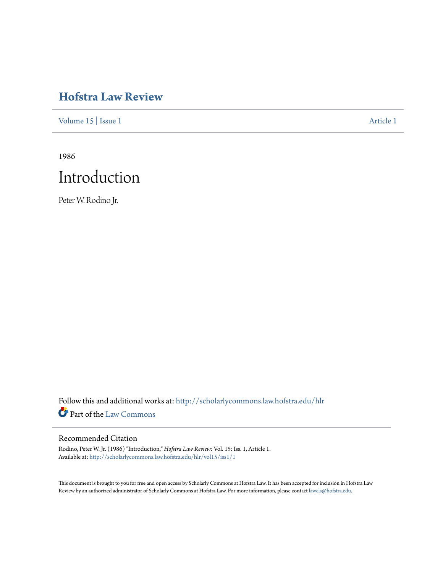## **[Hofstra Law Review](http://scholarlycommons.law.hofstra.edu/hlr?utm_source=scholarlycommons.law.hofstra.edu%2Fhlr%2Fvol15%2Fiss1%2F1&utm_medium=PDF&utm_campaign=PDFCoverPages)**

[Volume 15](http://scholarlycommons.law.hofstra.edu/hlr/vol15?utm_source=scholarlycommons.law.hofstra.edu%2Fhlr%2Fvol15%2Fiss1%2F1&utm_medium=PDF&utm_campaign=PDFCoverPages) | [Issue 1](http://scholarlycommons.law.hofstra.edu/hlr/vol15/iss1?utm_source=scholarlycommons.law.hofstra.edu%2Fhlr%2Fvol15%2Fiss1%2F1&utm_medium=PDF&utm_campaign=PDFCoverPages) [Article 1](http://scholarlycommons.law.hofstra.edu/hlr/vol15/iss1/1?utm_source=scholarlycommons.law.hofstra.edu%2Fhlr%2Fvol15%2Fiss1%2F1&utm_medium=PDF&utm_campaign=PDFCoverPages)

1986



Peter W. Rodino Jr.

Follow this and additional works at: [http://scholarlycommons.law.hofstra.edu/hlr](http://scholarlycommons.law.hofstra.edu/hlr?utm_source=scholarlycommons.law.hofstra.edu%2Fhlr%2Fvol15%2Fiss1%2F1&utm_medium=PDF&utm_campaign=PDFCoverPages) Part of the [Law Commons](http://network.bepress.com/hgg/discipline/578?utm_source=scholarlycommons.law.hofstra.edu%2Fhlr%2Fvol15%2Fiss1%2F1&utm_medium=PDF&utm_campaign=PDFCoverPages)

#### Recommended Citation

Rodino, Peter W. Jr. (1986) "Introduction," *Hofstra Law Review*: Vol. 15: Iss. 1, Article 1. Available at: [http://scholarlycommons.law.hofstra.edu/hlr/vol15/iss1/1](http://scholarlycommons.law.hofstra.edu/hlr/vol15/iss1/1?utm_source=scholarlycommons.law.hofstra.edu%2Fhlr%2Fvol15%2Fiss1%2F1&utm_medium=PDF&utm_campaign=PDFCoverPages)

This document is brought to you for free and open access by Scholarly Commons at Hofstra Law. It has been accepted for inclusion in Hofstra Law Review by an authorized administrator of Scholarly Commons at Hofstra Law. For more information, please contact [lawcls@hofstra.edu](mailto:lawcls@hofstra.edu).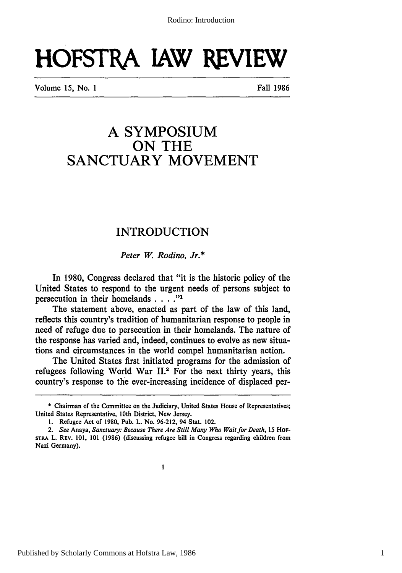# **HOFSTRA IAW REVIEW**

Volume 15, No. **I** Fall 1986

## **A SYMPOSIUM ON THE SANCTUARY MOVEMENT**

### INTRODUCTION

*Peter W. Rodino, Jr.\**

In 1980, Congress declared that "it is the historic policy of the United States to respond to the urgent needs of persons subject to persecution in their homelands . **.. ."'**

The statement above, enacted as part of the law of this land, reflects this country's tradition of humanitarian response to people in need of refuge due to persecution in their homelands. The nature of the response has varied and, indeed, continues to evolve as new situations and circumstances in the world compel humanitarian action.

The United States first initiated programs for the admission of refugees following World War **II.2** For the next thirty years, this country's response to the ever-increasing incidence of displaced per-

**<sup>\*</sup>** Chairman of the Committee on the Judiciary, United States House of Representatives; United States Representative, 10th District, New Jersey.

**<sup>1.</sup>** Refugee Act of **1980,** Pub. L. No. **96-212,** 94 Stat. 102.

*<sup>2.</sup> See* Anaya, *Sanctuary: Because There Are Still Many Who Wait for Death, 15* HoF-STRA L. **REV. 101, 101 (1986)** (discussing refugee bill in Congress regarding children from Nazi Germany).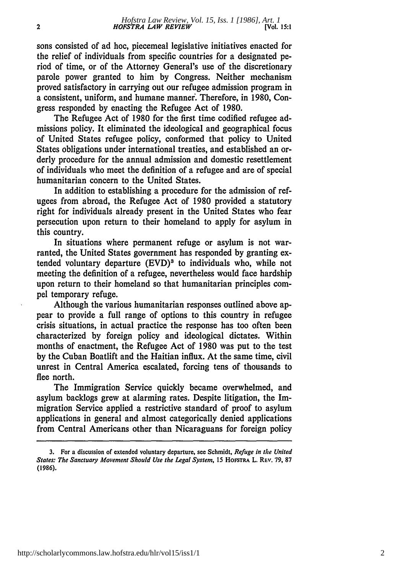sons consisted of ad hoc, piecemeal legislative initiatives enacted for the relief of individuals from specific countries for a designated period of time, or of the Attorney General's use of the discretionary parole power granted to him by Congress. Neither mechanism proved satisfactory in carrying out our refugee admission program in a consistent, uniform, and humane manner. Therefore, in 1980, Congress responded by enacting the Refugee Act of 1980.

The Refugee Act of **1980** for the first time codified refugee admissions policy. It eliminated the ideological and geographical focus of United States refugee policy, conformed that policy to United States obligations under international treaties, and established an orderly procedure for the annual admission and domestic resettlement of individuals who meet the definition of a refugee and are of special humanitarian concern to the United States.

In addition to establishing a procedure for the admission of refugees from abroad, the Refugee Act of 1980 provided a statutory right for individuals already present in the United States who fear persecution upon return to their homeland to apply for asylum in this country.

In situations where permanent refuge or asylum is not warranted, the United States government has responded by granting extended voluntary departure (EVD)<sup>3</sup> to individuals who, while not meeting the definition of a refugee, nevertheless would face hardship upon return to their homeland so that humanitarian principles compel temporary refuge.

Although the various humanitarian responses outlined above appear to provide a full range of options to this country in refugee crisis situations, in actual practice the response has too often been characterized by foreign policy and ideological dictates. Within months of enactment, the Refugee Act of 1980 was put to the test by the Cuban Boatlift and the Haitian influx. At the same time, civil unrest in Central America escalated, forcing tens of thousands to flee north.

The Immigration Service quickly became overwhelmed, and asylum backlogs grew at alarming rates. Despite litigation, the Immigration Service applied a restrictive standard of proof to asylum applications in general and almost categorically denied applications from Central Americans other than Nicaraguans for foreign policy

**<sup>3.</sup>** For a discussion **of** extended voluntary departure, see Schmidt, *Refuge in the United States: The* Sanctuary Movement Should Use the Legal System, 15 **HOESTRA** L. **REv.** 79, 87 (1986).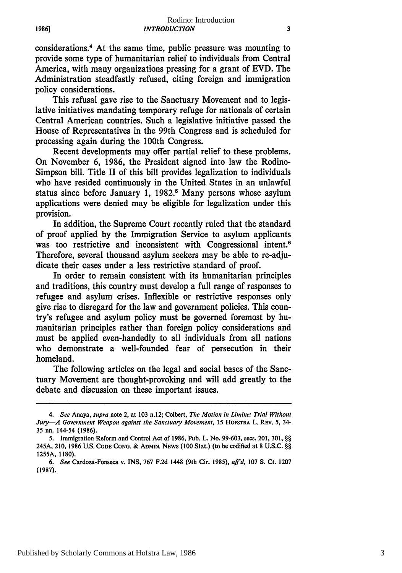considerations.4 At the same time, public pressure was mounting to provide some type of humanitarian relief to individuals from Central America, with many organizations pressing for a grant of **EVD.** The Administration steadfastly refused, citing foreign and immigration policy considerations.

**1986]**

This refusal gave rise to the Sanctuary Movement and to legislative initiatives mandating temporary refuge for nationals of certain Central American countries. Such a legislative initiative passed the House of Representatives in the 99th Congress and is scheduled for processing again during the 100th Congress.

Recent developments may offer partial relief to these problems. On November **6, 1986,** the President signed into law the Rodino-Simpson bill. Title II of this bill provides legalization to individuals who have resided continuously in the United States in an unlawful status since before January 1, 1982.<sup>5</sup> Many persons whose asylum applications were denied may be eligible for legalization under this provision.

In addition, the Supreme Court recently ruled that the standard of proof applied **by** the Immigration Service to asylum applicants was too restrictive and inconsistent with Congressional intent.<sup>6</sup> Therefore, several thousand asylum seekers may be able to re-adjudicate their cases under a less restrictive standard of proof.

In order to remain consistent with its humanitarian principles and traditions, this country must develop a full range of responses to refugee and asylum crises. Inflexible or restrictive responses only give rise to disregard for the law and government policies. This country's refugee and asylum policy must be governed foremost **by** humanitarian principles rather than foreign policy considerations and must be applied even-handedly to all individuals from all nations who demonstrate a well-founded fear of persecution in their homeland.

The following articles on the legal and social bases of the Sanctuary Movement are thought-provoking and will add greatly to the debate and discussion on these important issues.

*<sup>4.</sup> See* Anaya, *supra* note 2, at **103** n.12; Colbert, *The Motion in Limine: Trial Without Jury-A Government Weapon against the Sanctuary Movement, <sup>15</sup>***HOFSTRA** L. **REV. 5,** 34- **35 nn.** 144-54 **(1986).**

**<sup>5.</sup>** Immigration Reform and Control Act of **1986,** Pub. L. No. **99-603,** secs. 201, **301,** §§ **245A, 210, 1986 US. CODE CONG. & ADMIN. NEWS (100 Stat.) (to be codified at 8 U.S.C.** §§ **1255A, 1180).**

**<sup>6.</sup>** *See* Cardoza-Fonseca v. **INS, 767 F.2d 1448** (9th Cir. **1985),** *affd,* **107 S. Ct. 1207 (1987).**